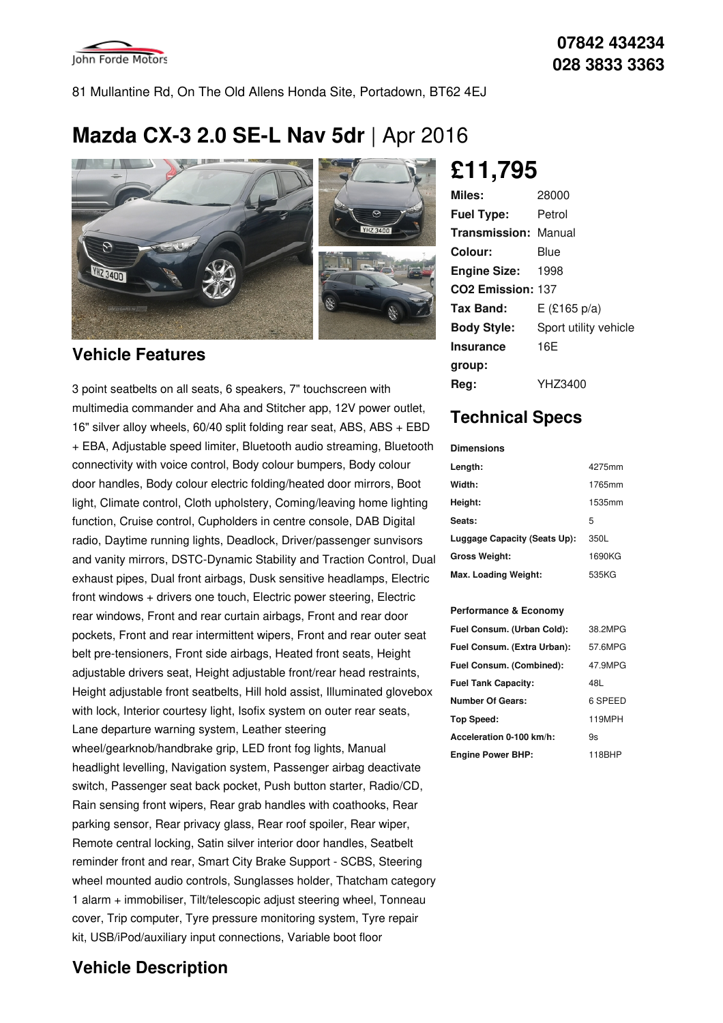

81 Mullantine Rd, On The Old Allens Honda Site, Portadown, BT62 4EJ

# **Mazda CX-3 2.0 SE-L Nav 5dr** |Apr 2016



### **Vehicle Features**

3 point seatbelts on all seats, 6 speakers, 7" touchscreen with multimedia commander and Aha and Stitcher app, 12V power outlet, 16" silver alloy wheels, 60/40 split folding rear seat, ABS, ABS + EBD + EBA, Adjustable speed limiter, Bluetooth audio streaming, Bluetooth connectivity with voice control, Body colour bumpers, Body colour door handles, Body colour electric folding/heated door mirrors, Boot light, Climate control, Cloth upholstery, Coming/leaving home lighting function, Cruise control, Cupholders in centre console, DAB Digital radio, Daytime running lights, Deadlock, Driver/passenger sunvisors and vanity mirrors, DSTC-Dynamic Stability and Traction Control, Dual exhaust pipes, Dual front airbags, Dusk sensitive headlamps, Electric front windows + drivers one touch, Electric power steering, Electric rear windows, Front and rear curtain airbags, Front and rear door pockets, Front and rear intermittent wipers, Front and rear outer seat belt pre-tensioners, Front side airbags, Heated front seats, Height adjustable drivers seat, Height adjustable front/rear head restraints, Height adjustable front seatbelts, Hill hold assist, Illuminated glovebox with lock, Interior courtesy light, Isofix system on outer rear seats, Lane departure warning system, Leather steering wheel/gearknob/handbrake grip, LED front fog lights, Manual headlight levelling, Navigation system, Passenger airbag deactivate switch, Passenger seat back pocket, Push button starter, Radio/CD, Rain sensing front wipers, Rear grab handles with coathooks, Rear parking sensor, Rear privacy glass, Rear roof spoiler, Rear wiper, Remote central locking, Satin silver interior door handles, Seatbelt reminder front and rear, Smart City Brake Support - SCBS, Steering wheel mounted audio controls, Sunglasses holder, Thatcham category 1 alarm + immobiliser, Tilt/telescopic adjust steering wheel, Tonneau cover, Trip computer, Tyre pressure monitoring system, Tyre repair kit, USB/iPod/auxiliary input connections, Variable boot floor

## **Vehicle Description**

**£11,795**

| Miles:                        | 28000                 |
|-------------------------------|-----------------------|
| <b>Fuel Type:</b>             | Petrol                |
| <b>Transmission: Manual</b>   |                       |
| Colour:                       | Blue                  |
| <b>Engine Size:</b>           | 1998                  |
| CO <sub>2</sub> Emission: 137 |                       |
| Tax Band:                     | $E$ (£165 p/a)        |
| <b>Body Style:</b>            | Sport utility vehicle |
| <b>Insurance</b>              | 16E                   |
| group:                        |                       |
| Reg:                          | YHZ3400               |

## **Technical Specs**

#### **Dimensions**

| Length:                      | 4275mm |
|------------------------------|--------|
| Width:                       | 1765mm |
| Height:                      | 1535mm |
| Seats:                       | 5      |
| Luggage Capacity (Seats Up): | 350L   |
| <b>Gross Weight:</b>         | 1690KG |
| Max. Loading Weight:         | 535KG  |

#### **Performance & Economy**

| Fuel Consum. (Urban Cold):  | 38.2MPG |
|-----------------------------|---------|
| Fuel Consum. (Extra Urban): | 57.6MPG |
| Fuel Consum. (Combined):    | 47.9MPG |
| <b>Fuel Tank Capacity:</b>  | 48L     |
| <b>Number Of Gears:</b>     | 6 SPEED |
| Top Speed:                  | 119MPH  |
| Acceleration 0-100 km/h:    | 9s      |
| <b>Engine Power BHP:</b>    | 118BHP  |